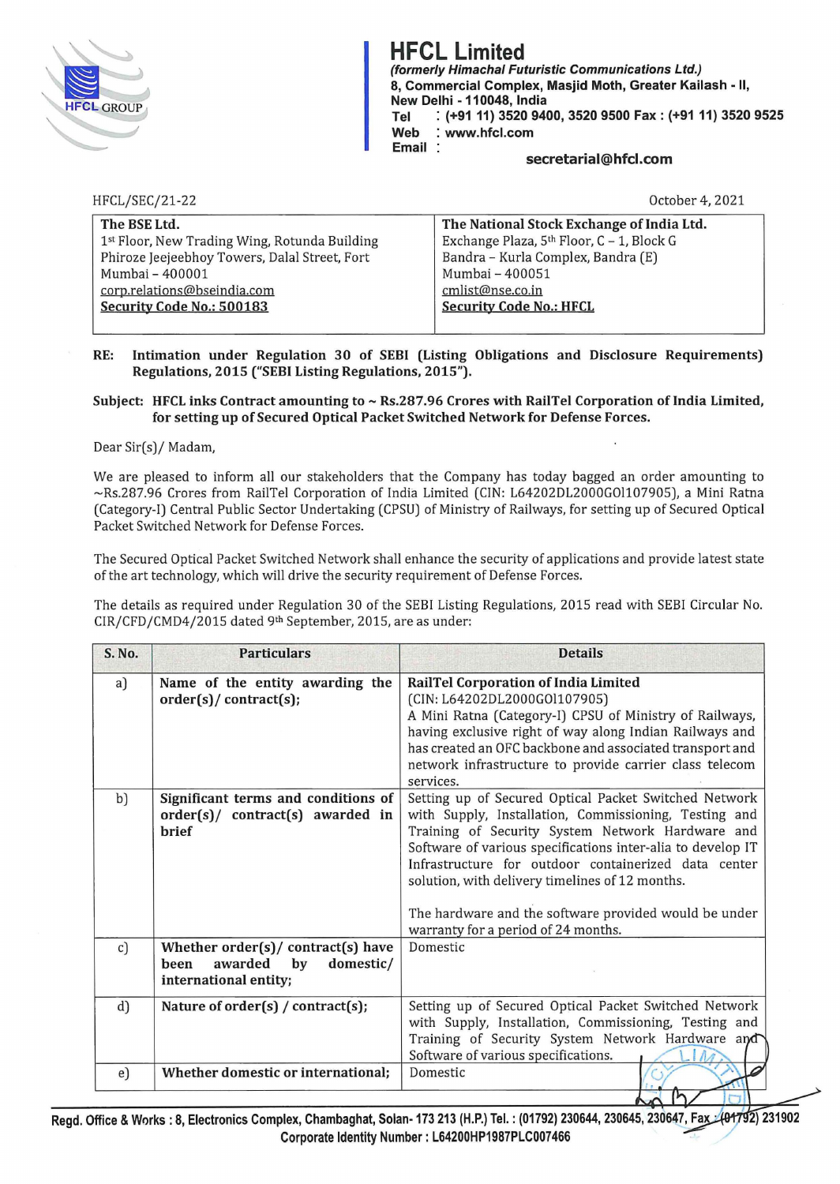

**HFCL Limited**  (formerly Himachal Futuristic Communications Ltd.) 8, Commercial Complex, Masjid Moth, Greater Kailash • 11, **New Delhi -110048, India Tel** : **(+9111) 3520 9400, 3520 9500 Fax: (+9111) 3520 9525 Web** : **www.hfcl.com Email** 

#### **secretarial@hfcl.com**

HFCL/SEC/21-22

October 4, 2021

| The BSE Ltd.                                  | The National Stock Exchange of India Ltd. |
|-----------------------------------------------|-------------------------------------------|
| 1st Floor, New Trading Wing, Rotunda Building | Exchange Plaza, 5th Floor, C - 1, Block G |
| Phiroze Jeejeebhoy Towers, Dalal Street, Fort | Bandra - Kurla Complex, Bandra (E)        |
| Mumbai - 400001                               | Mumbai - 400051                           |
| corp.relations@bseindia.com                   | cmlist@nse.co.in                          |
| Security Code No.: 500183                     | <b>Security Code No.: HFCL</b>            |
|                                               |                                           |

## **RE: Intimation under Regulation 30 of SEBI (Listing Obligations and Disclosure Requirements) Regulations, 2015 ("SEBI Listing Regulations, 2015").**

## Subject: HFCL inks Contract amounting to ~ Rs.287.96 Crores with RailTel Corporation of India Limited, **for setting up of Secured Optical Packet Switched Network for Defense Forces.**

#### Dear Sir(s)/ Madam,

We are pleased to inform all our stakeholders that the Company has today bagged an order amounting to -Rs.287.96 Crores from RailTel Corporation of India Limited (CIN: L64202DL2000GOl107905), a Mini Ratna (Category-I) Central Public Sector Undertaking (CPSU) of Ministry of Railways, for setting up of Secured Optical Packet Switched Network for Defense Forces.

The Secured Optical Packet Switched Network shall enhance the security of applications and provide latest state of the art technology, which will drive the security requirement of Defense Forces.

The details as required under Regulation 30 of the SEBI Listing Regulations, 2015 read with SEBI Circular No. CIR/CFD/CMD4/2015 dated 9th September, 2015, are as under:

| S. No. | <b>Particulars</b>                                                                                | <b>Details</b>                                                                                                                                                                                                                                                                                                                                                                                                                               |
|--------|---------------------------------------------------------------------------------------------------|----------------------------------------------------------------------------------------------------------------------------------------------------------------------------------------------------------------------------------------------------------------------------------------------------------------------------------------------------------------------------------------------------------------------------------------------|
| a)     | Name of the entity awarding the<br>order(s)/contract(s);                                          | RailTel Corporation of India Limited<br>(CIN: L64202DL2000GOl107905)<br>A Mini Ratna (Category-I) CPSU of Ministry of Railways,<br>having exclusive right of way along Indian Railways and<br>has created an OFC backbone and associated transport and<br>network infrastructure to provide carrier class telecom<br>services.                                                                                                               |
| b)     | Significant terms and conditions of<br>order(s)/ contract(s) awarded in<br><b>hrief</b>           | Setting up of Secured Optical Packet Switched Network<br>with Supply, Installation, Commissioning, Testing and<br>Training of Security System Network Hardware and<br>Software of various specifications inter-alia to develop IT<br>Infrastructure for outdoor containerized data center<br>solution, with delivery timelines of 12 months.<br>The hardware and the software provided would be under<br>warranty for a period of 24 months. |
| c)     | Whether $order(s)/control(s)$ have<br>awarded<br>domestic/<br>been<br>by<br>international entity; | Domestic                                                                                                                                                                                                                                                                                                                                                                                                                                     |
| d)     | Nature of $order(s) / contract(s);$                                                               | Setting up of Secured Optical Packet Switched Network<br>with Supply, Installation, Commissioning, Testing and<br>Training of Security System Network Hardware and<br>Software of various specifications.                                                                                                                                                                                                                                    |
| e)     | Whether domestic or international;                                                                | Domestic                                                                                                                                                                                                                                                                                                                                                                                                                                     |

**Regd. Office** & **Works: 8, Electronics Complex, Chambagh~t, Solan-173 213 (H.P.) Tel.: (01792) 230644, 230645, 230647, Fa \_** -A *<sup>1</sup> '* ~ **<sup>231902</sup>** Corporate Identity Number. L64200HP1987PLC007466